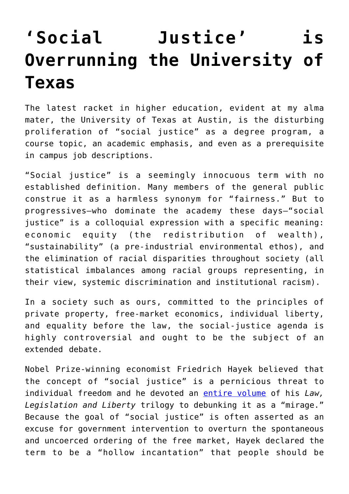## **['Social Justice' is](https://intellectualtakeout.org/2018/08/social-justice-is-overrunning-the-university-of-texas/) [Overrunning the University of](https://intellectualtakeout.org/2018/08/social-justice-is-overrunning-the-university-of-texas/) [Texas](https://intellectualtakeout.org/2018/08/social-justice-is-overrunning-the-university-of-texas/)**

The latest racket in higher education, evident at my alma mater, the University of Texas at Austin, is the disturbing proliferation of "social justice" as a degree program, a course topic, an academic emphasis, and even as a prerequisite in campus job descriptions.

"Social justice" is a seemingly innocuous term with no established definition. Many members of the general public construe it as a harmless synonym for "fairness." But to progressives—who dominate the academy these days—"social justice" is a colloquial expression with a specific meaning: economic equity (the redistribution of wealth), "sustainability" (a pre-industrial environmental ethos), and the elimination of racial disparities throughout society (all statistical imbalances among racial groups representing, in their view, systemic discrimination and institutional racism).

In a society such as ours, committed to the principles of private property, free-market economics, individual liberty, and equality before the law, the social-justice agenda is highly controversial and ought to be the subject of an extended debate.

Nobel Prize-winning economist Friedrich Hayek believed that the concept of "social justice" is a pernicious threat to individual freedom and he devoted an [entire volume](https://www.amazon.com/Law-Legislation-Liberty-Mirage-Justice/dp/0226320839/ref=sr_1_1?s=books&ie=UTF8&qid=1532952224&sr=1-1&keywords=Hayek+the+mirage+of+social+justice) of his *Law, Legislation and Liberty* trilogy to debunking it as a "mirage." Because the goal of "social justice" is often asserted as an excuse for government intervention to overturn the spontaneous and uncoerced ordering of the free market, Hayek declared the term to be a "hollow incantation" that people should be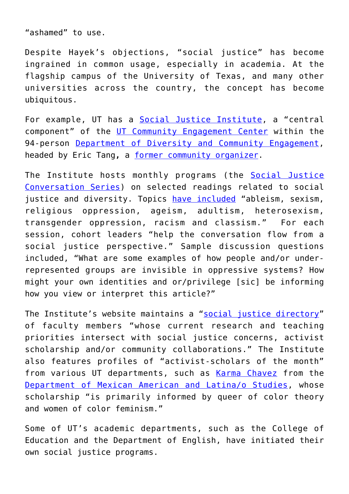"ashamed" to use.

Despite Hayek's objections, "social justice" has become ingrained in common usage, especially in academia. At the flagship campus of the University of Texas, and many other universities across the country, the concept has become ubiquitous.

For example, UT has a [Social Justice Institute](http://diversity.utexas.edu/socialjustice/), a "central component" of the [UT Community Engagement Center](http://diversity.utexas.edu/communitycenter/) within the 94-person [Department of Diversity and Community Engagement,](http://diversity.utexas.edu/) headed by Eric Tang**,** a [former community organizer.](https://liberalarts.utexas.edu/aas/faculty/profile.php?id=et5689)

The Institute hosts monthly programs (the [Social Justice](http://diversity.utexas.edu/news/2013/12/02/ddce-starts-at-home-with-the-social-justice-conversation-series/) [Conversation Series](http://diversity.utexas.edu/news/2013/12/02/ddce-starts-at-home-with-the-social-justice-conversation-series/)) on selected readings related to social justice and diversity. Topics [have included](http://diversity.utexas.edu/news/2013/12/02/ddce-starts-at-home-with-the-social-justice-conversation-series/) "ableism, sexism, religious oppression, ageism, adultism, heterosexism, transgender oppression, racism and classism." For each session, cohort leaders "help the conversation flow from a social justice perspective." Sample discussion questions included, "What are some examples of how people and/or underrepresented groups are invisible in oppressive systems? How might your own identities and or/privilege [sic] be informing how you view or interpret this article?"

The Institute's website maintains a ["social justice directory"](http://diversity.utexas.edu/socialjustice/social-justice-directory/) of faculty members "whose current research and teaching priorities intersect with social justice concerns, activist scholarship and/or community collaborations." The Institute also features profiles of "activist-scholars of the month" from various UT departments, such as [Karma Chavez](https://liberalarts.utexas.edu/mals/faculty/kc32638) from the [Department of Mexican American and Latina/o Studies](https://liberalarts.utexas.edu/mals/), whose scholarship "is primarily informed by queer of color theory and women of color feminism."

Some of UT's academic departments, such as the College of Education and the Department of English, have initiated their own social justice programs.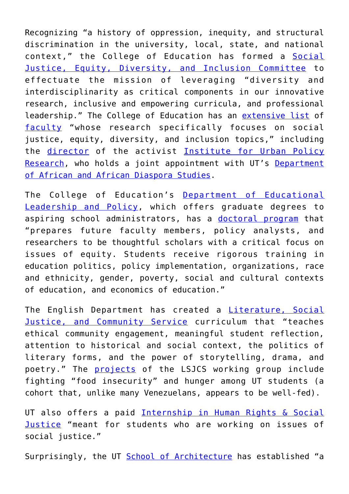Recognizing "a history of oppression, inequity, and structural discrimination in the university, local, state, and national context," the College of Education has formed a [Social](https://education.utexas.edu/about/diversity) [Justice, Equity, Diversity, and Inclusion Committee](https://education.utexas.edu/about/diversity) to effectuate the mission of leveraging "diversity and interdisciplinarity as critical components in our innovative research, inclusive and empowering curricula, and professional leadership." The College of Education has an [extensive list](https://education.utexas.edu/about/diversity/faculty) of [faculty](https://liberalarts.utexas.edu/iupra/about-iupra/faculty-fellows-and-associates.php) "whose research specifically focuses on social justice, equity, diversity, and inclusion topics," including the [director](https://education.utexas.edu/faculty/kevin_cokley) of the activist [Institute for Urban Policy](https://liberalarts.utexas.edu/iupra/) [Research,](https://liberalarts.utexas.edu/iupra/) who holds a joint appointment with UT's [Department](https://liberalarts.utexas.edu/aads/) [of African and African Diaspora Studies](https://liberalarts.utexas.edu/aads/).

The College of Education's [Department of Educational](https://education.utexas.edu/departments/educational-leadership-policy) [Leadership and Policy,](https://education.utexas.edu/departments/educational-leadership-policy) which offers graduate degrees to aspiring school administrators, has a [doctoral program](https://education.utexas.edu/departments/educational-leadership-policy/graduate-programs/education-policy-planning-program) that "prepares future faculty members, policy analysts, and researchers to be thoughtful scholars with a critical focus on issues of equity. Students receive rigorous training in education politics, policy implementation, organizations, race and ethnicity, gender, poverty, social and cultural contexts of education, and economics of education."

The English Department has created a *[Literature, Social](https://sites.utexas.edu/lsjcs/)* [Justice, and Community Service](https://sites.utexas.edu/lsjcs/) curriculum that "teaches ethical community engagement, meaningful student reflection, attention to historical and social context, the politics of literary forms, and the power of storytelling, drama, and poetry." The **[projects](https://sites.utexas.edu/lsjcs/updates/)** of the LSJCS working group include fighting "food insecurity" and hunger among UT students (a cohort that, unlike many Venezuelans, appears to be well-fed).

UT also offers a paid [Internship in Human Rights & Social](https://law.utexas.edu/humanrights/opportunities/barbara-harlow-internship/) **[Justice](https://law.utexas.edu/humanrights/opportunities/barbara-harlow-internship/)** "meant for students who are working on issues of social justice."

Surprisingly, the UT [School of Architecture](https://news.utexas.edu/2016/09/07/soas-initiative-on-race-gender-and-the-built-environment) has established "a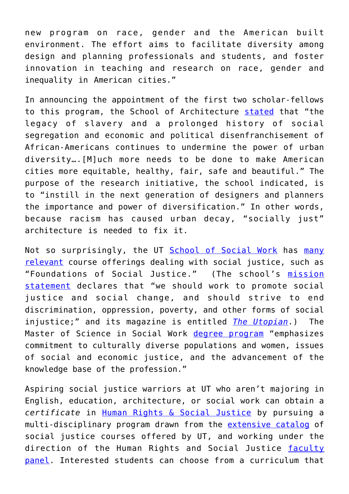new program on race, gender and the American built environment. The effort aims to facilitate diversity among design and planning professionals and students, and foster innovation in teaching and research on race, gender and inequality in American cities."

In announcing the appointment of the first two scholar-fellows to this program, the School of Architecture [stated](https://soa.utexas.edu/headlines/utsoa-establishes-new-initiative-race-gender-and-built-environment) that "the legacy of slavery and a prolonged history of social segregation and economic and political disenfranchisement of African-Americans continues to undermine the power of urban diversity….[M]uch more needs to be done to make American cities more equitable, healthy, fair, safe and beautiful." The purpose of the research initiative, the school indicated, is to "instill in the next generation of designers and planners the importance and power of diversification." In other words, because racism has caused urban decay, "socially just" architecture is needed to fix it.

Not so surprisingly, the UT [School of Social Work](https://socialwork.utexas.edu/) has [many](https://socialwork.utexas.edu/bsw/course-descriptions/) [relevant](https://socialwork.utexas.edu/bsw/course-descriptions/) course offerings dealing with social justice, such as "Foundations of Social Justice." (The school's [mission](https://socialwork.utexas.edu/about-us/mission/) [statement](https://socialwork.utexas.edu/about-us/mission/) declares that "we should work to promote social justice and social change, and should strive to end discrimination, oppression, poverty, and other forms of social injustice;" and its magazine is entitled *[The Utopian](http://sites.utexas.edu/theutopian/)*.) The Master of Science in Social Work [degree program](https://socialwork.utexas.edu/mssw/) "emphasizes commitment to culturally diverse populations and women, issues of social and economic justice, and the advancement of the knowledge base of the profession."

Aspiring social justice warriors at UT who aren't majoring in English, education, architecture, or social work can obtain a *certificate* in [Human Rights & Social Justice](https://ugs.utexas.edu/bdp/programs/hrsj) by pursuing a multi-disciplinary program drawn from the [extensive catalog](https://ugs.utexas.edu/sites/default/files/documents/pdf/HRSJ_Curriculum_20182.pdf) of social justice courses offered by UT, and working under the direction of the Human Rights and Social Justice [faculty](https://ugs.utexas.edu/bdp/programs/hrsj/faculty) [panel](https://ugs.utexas.edu/bdp/programs/hrsj/faculty). Interested students can choose from a curriculum that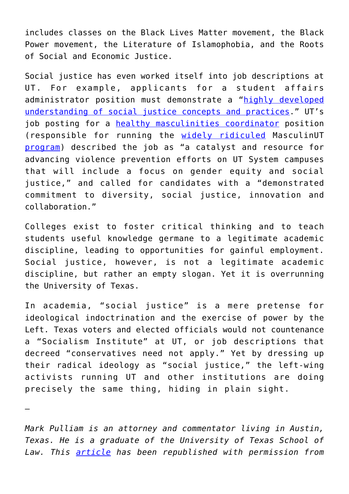includes classes on the Black Lives Matter movement, the Black Power movement, the Literature of Islamophobia, and the Roots of Social and Economic Justice.

Social justice has even worked itself into job descriptions at UT. For example, applicants for a student affairs administrator position must demonstrate a "[highly developed](https://utdirect.utexas.edu/apps/hr/jobs/nlogon/180327013039) [understanding of social justice concepts and practices](https://utdirect.utexas.edu/apps/hr/jobs/nlogon/180327013039)." UT's job posting for a [healthy masculinities coordinator](https://utdirect.utexas.edu/apps/hr/jobs/nlogon/180326011533) position (responsible for running the [widely ridiculed](http://kut.org/post/ut-austin-rethinks-masculinut-program-after-criticism-conservative-groups) MasculinUT [program\)](https://cmhc.utexas.edu/vav/vav_masculinut.html) described the job as "a catalyst and resource for advancing violence prevention efforts on UT System campuses that will include a focus on gender equity and social justice," and called for candidates with a "demonstrated commitment to diversity, social justice, innovation and collaboration."

Colleges exist to foster critical thinking and to teach students useful knowledge germane to a legitimate academic discipline, leading to opportunities for gainful employment. Social justice, however, is not a legitimate academic discipline, but rather an empty slogan. Yet it is overrunning the University of Texas.

In academia, "social justice" is a mere pretense for ideological indoctrination and the exercise of power by the Left. Texas voters and elected officials would not countenance a "Socialism Institute" at UT, or job descriptions that decreed "conservatives need not apply." Yet by dressing up their radical ideology as "social justice," the left-wing activists running UT and other institutions are doing precisely the same thing, hiding in plain sight.

—

*Mark Pulliam is an attorney and commentator living in Austin, Texas. He is a graduate of the University of Texas School of Law. This [article](https://www.jamesgmartin.center/2018/08/social-justice-is-overrunning-the-university-of-texas/) has been republished with permission from*